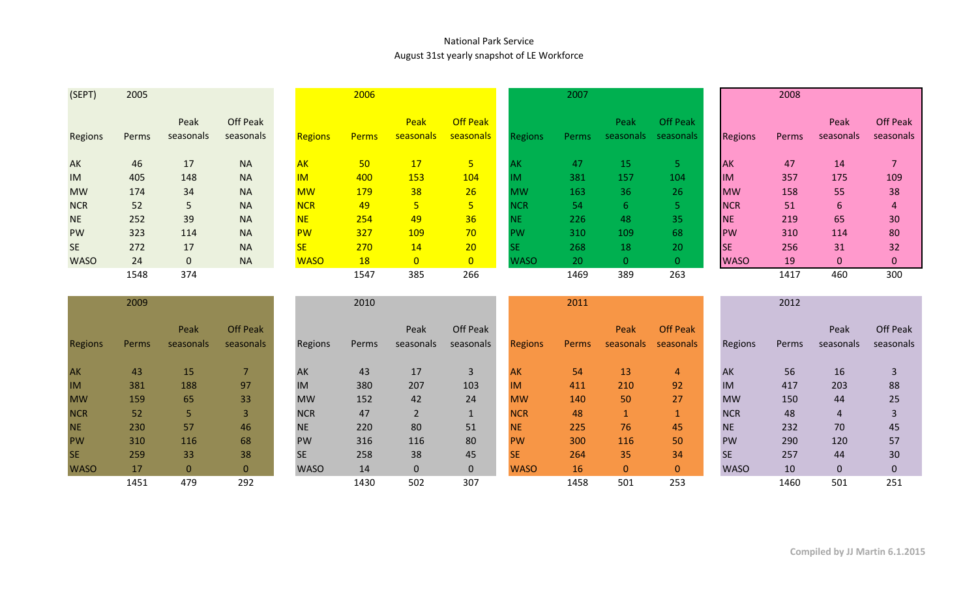## National Park Service August 31st yearly snapshot of LE Workforce

| (SEPT)      | 2005  |                   |                       |                | 2006         |                   |                              |             | 2007  |                   |                              |                | 2008  |                   |                              |
|-------------|-------|-------------------|-----------------------|----------------|--------------|-------------------|------------------------------|-------------|-------|-------------------|------------------------------|----------------|-------|-------------------|------------------------------|
| Regions     | Perms | Peak<br>seasonals | Off Peak<br>seasonals | <b>Regions</b> | <b>Perms</b> | Peak<br>seasonals | <b>Off Peak</b><br>seasonals | Regions     | Perms | Peak<br>seasonals | <b>Off Peak</b><br>seasonals | <b>Regions</b> | Perms | Peak<br>seasonals | <b>Off Peak</b><br>seasonals |
| <b>AK</b>   | 46    | 17                | <b>NA</b>             | <b>AK</b>      | 50           | 17                | 5                            | AΚ          | 47    | <b>15</b>         |                              | <b>AK</b>      | 47    | 14                |                              |
| <b>IM</b>   | 405   | 148               | <b>NA</b>             | <b>IM</b>      | 400          | <b>153</b>        | 104                          | IM          | 381   | 157               | 104                          | <b>IM</b>      | 357   | 175               | 109                          |
| <b>MW</b>   | 174   | 34                | <b>NA</b>             | <b>MW</b>      | <b>179</b>   | 38                | 26                           | <b>MW</b>   | 163   | 36                | 26                           | <b>MW</b>      | 158   | 55                | 38                           |
| <b>NCR</b>  | 52    | 5                 | <b>NA</b>             | <b>NCR</b>     | 49           | 5                 | 5                            | <b>NCR</b>  | 54    | 6.                |                              | <b>NCR</b>     | 51    | 6                 | 4                            |
| <b>NE</b>   | 252   | 39                | <b>NA</b>             | <b>NE</b>      | 254          | 49                | 36                           | NE          | 226   | 48                | 35                           | <b>NE</b>      | 219   | 65                | 30                           |
| <b>PW</b>   | 323   | 114               | <b>NA</b>             | <b>PW</b>      | 327          | 109               | 70                           | PW          | 310   | 109               | 68                           | PW             | 310   | 114               | 80                           |
| <b>SE</b>   | 272   | 17                | <b>NA</b>             | <b>SE</b>      | 270          | 14                | 20                           | SE          | 268   | 18                | 20                           | <b>SE</b>      | 256   | 31                | 32                           |
| <b>WASO</b> | 24    | $\mathbf{0}$      | <b>NA</b>             | <b>WASO</b>    | <b>18</b>    | $\overline{0}$    | $\overline{0}$               | <b>WASO</b> | 20    | $\Omega$          | 0                            | <b>WASO</b>    | 19    | $\mathbf 0$       | 0                            |
|             | 1548  | 374               |                       |                | 1547         | 385               | 266                          |             | 1469  | 389               | 263                          |                | 1417  | 460               | 300                          |

|                | 2009  |                   |                              |             | 2010  |                   |                       |                | 2011  |                   |                              |             | 2012  |                   |                       |
|----------------|-------|-------------------|------------------------------|-------------|-------|-------------------|-----------------------|----------------|-------|-------------------|------------------------------|-------------|-------|-------------------|-----------------------|
| <b>Regions</b> | Perms | Peak<br>seasonals | <b>Off Peak</b><br>seasonals | Regions     | Perms | Peak<br>seasonals | Off Peak<br>seasonals | <b>Regions</b> | Perms | Peak<br>seasonals | <b>Off Peak</b><br>seasonals | Regions     | Perms | Peak<br>seasonals | Off Peak<br>seasonals |
| <b>AK</b>      | 43    | 15                |                              | AK          | 43    | 17                | $\overline{3}$        | <b>AK</b>      | 54    | 13                | 4                            | AK          | 56    | 16                |                       |
| <b>IM</b>      | 381   | 188               | 97                           | IM          | 380   | 207               | 103                   | <b>IM</b>      | 411   | 210               | 92                           | IM          | 417   | 203               | 88                    |
| <b>MW</b>      | 159   | 65                | 33                           | <b>MW</b>   | 152   | 42                | 24                    | <b>MW</b>      | 140   | 50                | 27                           | <b>MW</b>   | 150   | 44                | 25                    |
| <b>NCR</b>     | 52    | 5                 | $\mathbf{3}$                 | <b>NCR</b>  | 47    | $\overline{2}$    |                       | <b>NCR</b>     | 48    |                   |                              | <b>NCR</b>  | 48    | 4                 |                       |
| <b>NE</b>      | 230   | 57                | 46                           | <b>NE</b>   | 220   | 80                | 51                    | <b>NE</b>      | 225   | 76                | 45                           | <b>NE</b>   | 232   | 70                | 45                    |
| <b>PW</b>      | 310   | 116               | 68                           | <b>PW</b>   | 316   | 116               | 80                    | <b>PW</b>      | 300   | 116               | 50                           | <b>PW</b>   | 290   | 120               | 57                    |
| <b>SE</b>      | 259   | 33                | 38                           | <b>SE</b>   | 258   | 38                | 45                    | <b>SE</b>      | 264   | 35                | 34                           | <b>SE</b>   | 257   | 44                | 30                    |
| <b>WASO</b>    | 17    | $\mathbf{0}$      | $\mathbf{0}$                 | <b>WASO</b> | 14    | $\mathbf{0}$      | $\mathbf{0}$          | <b>WASO</b>    | 16    | $\mathbf{0}$      | $\mathbf{0}$                 | <b>WASO</b> | 10    | $\mathbf{0}$      | $\pmb{0}$             |
|                | 1451  | 479               | 292                          |             | 1430  | 502               | 307                   |                | 1458  | 501               | 253                          |             | 1460  | 501               | 251                   |